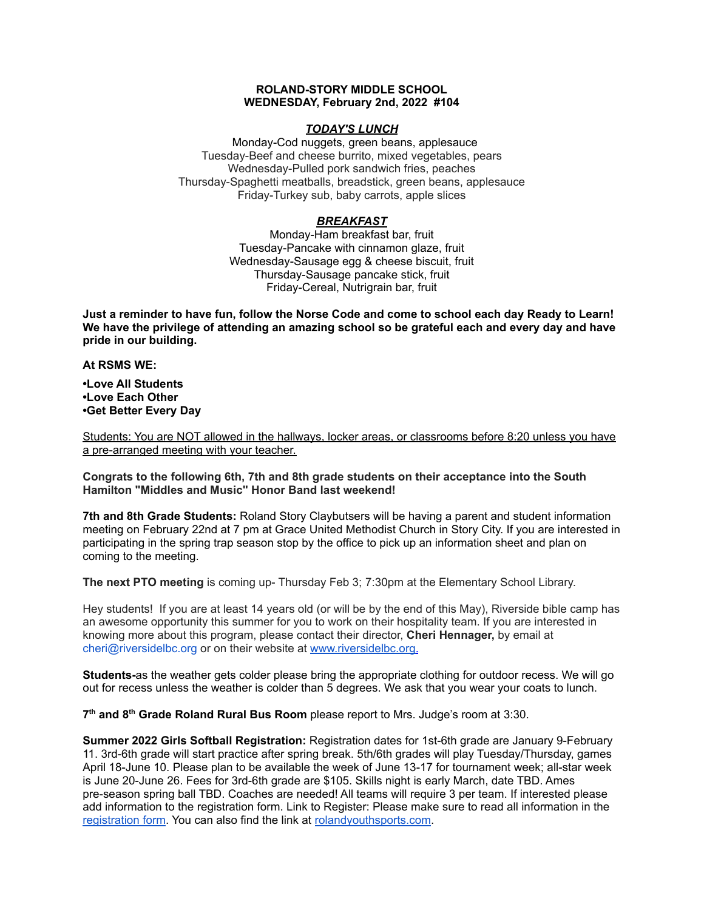## **ROLAND-STORY MIDDLE SCHOOL WEDNESDAY, February 2nd, 2022 #104**

## *TODAY'S LUNCH*

Monday-Cod nuggets, green beans, applesauce Tuesday-Beef and cheese burrito, mixed vegetables, pears Wednesday-Pulled pork sandwich fries, peaches Thursday-Spaghetti meatballs, breadstick, green beans, applesauce Friday-Turkey sub, baby carrots, apple slices

# *BREAKFAST*

Monday-Ham breakfast bar, fruit Tuesday-Pancake with cinnamon glaze, fruit Wednesday-Sausage egg & cheese biscuit, fruit Thursday-Sausage pancake stick, fruit Friday-Cereal, Nutrigrain bar, fruit

Just a reminder to have fun, follow the Norse Code and come to school each day Ready to Learn! **We have the privilege of attending an amazing school so be grateful each and every day and have pride in our building.**

### **At RSMS WE:**

**•Love All Students •Love Each Other •Get Better Every Day**

Students: You are NOT allowed in the hallways, locker areas, or classrooms before 8:20 unless you have a pre-arranged meeting with your teacher.

**Congrats to the following 6th, 7th and 8th grade students on their acceptance into the South Hamilton "Middles and Music" Honor Band last weekend!**

**7th and 8th Grade Students:** Roland Story Claybutsers will be having a parent and student information meeting on February 22nd at 7 pm at Grace United Methodist Church in Story City. If you are interested in participating in the spring trap season stop by the office to pick up an information sheet and plan on coming to the meeting.

**The next PTO meeting** is coming up- Thursday Feb 3; 7:30pm at the Elementary School Library.

Hey students! If you are at least 14 years old (or will be by the end of this May), Riverside bible camp has an awesome opportunity this summer for you to work on their hospitality team. If you are interested in knowing more about this program, please contact their director, **Cheri Hennager,** by email at cheri@riversidelbc.org or on their website at [www.riversidelbc.org.](http://www.riversidelbc.org/)

**Students-**as the weather gets colder please bring the appropriate clothing for outdoor recess. We will go out for recess unless the weather is colder than 5 degrees. We ask that you wear your coats to lunch.

**7 th and 8 th Grade Roland Rural Bus Room** please report to Mrs. Judge's room at 3:30.

**Summer 2022 Girls Softball Registration:** Registration dates for 1st-6th grade are January 9-February 11. 3rd-6th grade will start practice after spring break. 5th/6th grades will play Tuesday/Thursday, games April 18-June 10. Please plan to be available the week of June 13-17 for tournament week; all-star week is June 20-June 26. Fees for 3rd-6th grade are \$105. Skills night is early March, date TBD. Ames pre-season spring ball TBD. Coaches are needed! All teams will require 3 per team. If interested please add information to the registration form. Link to Register: Please make sure to read all information in th[e](https://rolandyouthsports.com/summer-2022-softball-registration-form/) [registration](https://rolandyouthsports.com/summer-2022-softball-registration-form/) form. You can also find the link at [rolandyouthsports.com](http://rolandyouthsports.com/).